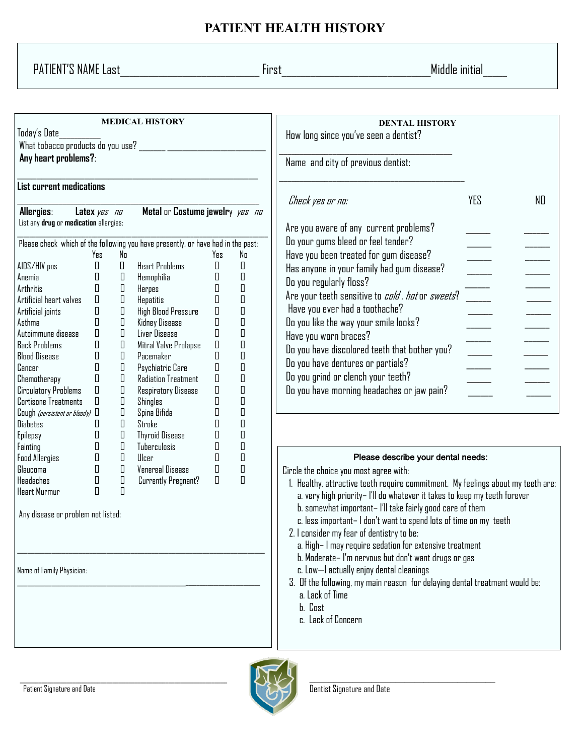## **PATIENT HEALTH HISTORY**

PATIENT'S NAME Last\_\_\_\_\_\_\_\_\_\_\_\_\_\_\_\_\_\_\_\_\_\_\_\_\_\_\_\_\_ First\_\_\_\_\_\_\_\_\_\_\_\_\_\_\_\_\_\_\_\_\_\_\_\_\_\_\_\_\_\_\_Middle initial\_\_\_\_\_

| <b>MEDICAL HISTORY</b><br>Today's Date<br>What tobacco products do you use?<br>Any heart problems?:                                                                                                                                                                                                                                                                                                                         |                                                                                                                                                                                                                                   |                                                                                                                                                                          |                                                                                                                                                                                                                                                                                                                                                                                                                                   |                                                                                                                                                                                                                                                             |                                                                                                                                                                                                                                                                                                                                                                                                                                                                                                                                                                                                                                                                                                                              | <b>DENTAL HISTORY</b><br>How long since you've seen a dentist?<br>Name and city of previous dentist:                                                                                                                                                                                                                                                                                                                                                                                                                                                          |                                                                                      |    |
|-----------------------------------------------------------------------------------------------------------------------------------------------------------------------------------------------------------------------------------------------------------------------------------------------------------------------------------------------------------------------------------------------------------------------------|-----------------------------------------------------------------------------------------------------------------------------------------------------------------------------------------------------------------------------------|--------------------------------------------------------------------------------------------------------------------------------------------------------------------------|-----------------------------------------------------------------------------------------------------------------------------------------------------------------------------------------------------------------------------------------------------------------------------------------------------------------------------------------------------------------------------------------------------------------------------------|-------------------------------------------------------------------------------------------------------------------------------------------------------------------------------------------------------------------------------------------------------------|------------------------------------------------------------------------------------------------------------------------------------------------------------------------------------------------------------------------------------------------------------------------------------------------------------------------------------------------------------------------------------------------------------------------------------------------------------------------------------------------------------------------------------------------------------------------------------------------------------------------------------------------------------------------------------------------------------------------------|---------------------------------------------------------------------------------------------------------------------------------------------------------------------------------------------------------------------------------------------------------------------------------------------------------------------------------------------------------------------------------------------------------------------------------------------------------------------------------------------------------------------------------------------------------------|--------------------------------------------------------------------------------------|----|
| List current medications                                                                                                                                                                                                                                                                                                                                                                                                    |                                                                                                                                                                                                                                   |                                                                                                                                                                          |                                                                                                                                                                                                                                                                                                                                                                                                                                   |                                                                                                                                                                                                                                                             |                                                                                                                                                                                                                                                                                                                                                                                                                                                                                                                                                                                                                                                                                                                              |                                                                                                                                                                                                                                                                                                                                                                                                                                                                                                                                                               |                                                                                      |    |
| Allergies:<br>List any drug or medication allergies:<br>AIDS/HIV pos<br>Anemia<br>Arthritis<br>Artificial heart valves<br>Artificial joints<br>Asthma<br>Autoimmune disease<br><b>Back Problems</b><br><b>Blood Disease</b><br>Cancer<br>Chemotherapy<br>Circulatory Problems<br><b>Cortisone Treatments</b><br>Cough (persistent or bloody) $\Box$<br><b>Diabetes</b><br>Epilepsy                                          | Latex yes no<br>Yes<br>$\Box$<br>$\Box$<br>$\Box$<br>$\Box$<br>$\begin{array}{c} \square \end{array}$<br>П<br>П<br>П<br>$\begin{array}{c} \square \end{array}$<br>$\begin{array}{c} \square \end{array}$<br>П<br>П<br>$\Box$<br>П | No<br>$\Box$<br>П<br>П<br>П<br>П<br>П<br>П<br>$\begin{array}{ccc} \hline \end{array}$<br>П<br>$\begin{array}{ccc} \hline \end{array}$<br>П<br>П<br>П<br>П<br>$\Box$<br>П | Metal or Costume jewelry yes no<br>Please check which of the following you have presently, or have had in the past:<br><b>Heart Problems</b><br>Hemophilia<br>Herpes<br>Hepatitis<br>High Blood Pressure<br>Kidney Disease<br>Liver Disease<br>Mitral Valve Prolapse<br>Pacemaker<br>Psychiatric Care<br>Radiation Treatment<br><b>Respiratory Disease</b><br><b>Shingles</b><br>Spina Bifida<br>Stroke<br><b>Thyroid Disease</b> | Yes<br>$\begin{array}{c} \square \end{array}$<br>П<br>$\begin{array}{ccc} \hline \end{array}$<br>$\Box$<br>$\Box$<br>$\Box$<br>$\Box$<br>$\hfill\Box$<br>$\Box$<br>$\Box$<br>$\Box$<br>$\Box$<br>$\Box$<br>П<br>П<br>$\begin{array}{c} \square \end{array}$ | No<br>$\Box$<br>$\Box$<br>$\hfill\Box$<br>$\hfill\Box$<br>$\hfill\Box$<br>$\hfill\Box$<br>$\hfill\Box$<br>$\hfill\Box$<br>$\begin{array}{c} \square \end{array}$<br>$\begin{array}{c} \square \end{array}$<br>$\hfill\Box$<br>$\hfill\Box$<br>$\hfill\Box$<br>$\hfill\Box$<br>$\hfill\Box$<br>$\hfill\Box$                                                                                                                                                                                                                                                                                                                                                                                                                   | Check yes or no:<br>Are you aware of any current problems?<br>Do your gums bleed or feel tender?<br>Have you been treated for gum disease?<br>Has anyone in your family had gum disease?<br>Do you regularly floss?<br>Are your teeth sensitive to <i>cold , hot</i> or sweets?<br>Have you ever had a toothache?<br>Do you like the way your smile looks?<br>Have you worn braces?<br>Do you have discolored teeth that bother you?<br>Do you have dentures or partials?<br>Do you grind or clench your teeth?<br>Do you have morning headaches or jaw pain? | YES<br>$\frac{1}{\sqrt{1-\frac{1}{2}}}$<br>$\Rightarrow$<br>$\overline{\phantom{a}}$ | NO |
| $\begin{array}{c} \square \end{array}$<br>П<br>П<br><b>Tuberculosis</b><br>Fainting<br>$\Box$<br>П<br>П<br>$\Box$<br><b>Food Allergies</b><br>Ulcer<br>$\hfill\Box$<br>$\Box$<br>$\Box$<br><b>Venereal Disease</b><br>$\Box$<br>Glaucoma<br>$\Box$<br>$\Box$<br>$\Box$<br>Headaches<br>$\Box$<br>Currently Pregnant?<br>$\Box$<br>$\Box$<br>Heart Murmur<br>Any disease or problem not listed:<br>Name of Family Physician: |                                                                                                                                                                                                                                   |                                                                                                                                                                          |                                                                                                                                                                                                                                                                                                                                                                                                                                   | $\Box$                                                                                                                                                                                                                                                      | Please describe your dental needs:<br>Circle the choice you most agree with:<br>1. Healthy, attractive teeth require commitment. My feelings about my teeth are:<br>a. very high priority– I'll do whatever it takes to keep my teeth forever<br>b. somewhat important-I'll take fairly good care of them<br>c. less important- I don't want to spend lots of time on my teeth<br>2. I consider my fear of dentistry to be:<br>a. High- I may require sedation for extensive treatment<br>b. Moderate-I'm nervous but don't want drugs or gas<br>c. Low-I actually enjoy dental cleanings<br>3. Of the following, my main reason for delaying dental treatment would be:<br>a. Lack of Time<br>b. Cost<br>c. Lack of Concern |                                                                                                                                                                                                                                                                                                                                                                                                                                                                                                                                                               |                                                                                      |    |

 $\_$  , and the set of the set of the set of the set of the set of the set of the set of the set of the set of the set of the set of the set of the set of the set of the set of the set of the set of the set of the set of th



 $\mathcal{L}_\text{max}$